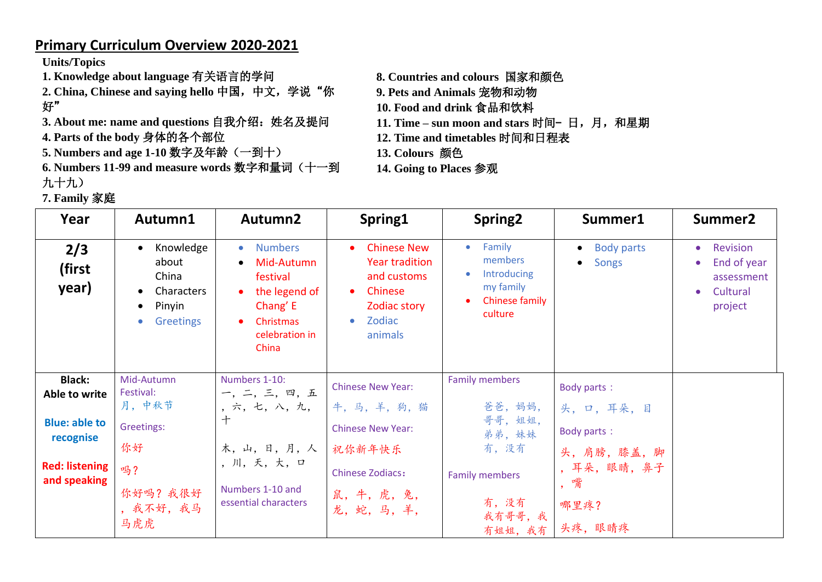## **Primary Curriculum Overview 2020-2021**

**Units/Topics**

- **1. Knowledge about language** 有关语言的学问
- **2. China, Chinese and saying hello** 中国,中文,学说"你 好"
- 3. About me: name and questions 自我介绍: 姓名及提问
- **4. Parts of the body** 身体的各个部位
- **5. Numbers and age 1-10** 数字及年龄(一到十)
- **6. Numbers 11-99 and measure words** 数字和量词(十一到 九十九)
- **7. Family** 家庭
- **8. Countries and colours** 国家和颜色
- **9. Pets and Animals** 宠物和动物
- **10. Food and drink** 食品和饮料
- 11. Time sun moon and stars 时间 日, 月, 和星期
- **12. Time and timetables** 时间和日程表
- **13. Colours** 颜色
- **14. Going to Places** 参观

| Year                                  | Autumn1                                                                                                                     | Autumn2                                                                                                                                      | Spring1                                                                                                                              | Spring <sub>2</sub>                                                                     | Summer1                                                     | Summer <sub>2</sub>                                                                                 |
|---------------------------------------|-----------------------------------------------------------------------------------------------------------------------------|----------------------------------------------------------------------------------------------------------------------------------------------|--------------------------------------------------------------------------------------------------------------------------------------|-----------------------------------------------------------------------------------------|-------------------------------------------------------------|-----------------------------------------------------------------------------------------------------|
| 2/3<br>(first<br>year)                | Knowledge<br>$\bullet$<br>about<br>China<br><b>Characters</b><br>$\bullet$<br>Pinyin<br>$\bullet$<br>Greetings<br>$\bullet$ | <b>Numbers</b><br>$\bullet$<br>Mid-Autumn<br>$\bullet$<br>festival<br>the legend of<br>Chang' E<br>Christmas<br>٠<br>celebration in<br>China | <b>Chinese New</b><br><b>Year tradition</b><br>and customs<br>Chinese<br>$\bullet$<br>Zodiac story<br>Zodiac<br>$\bullet$<br>animals | Family<br>$\bullet$<br>members<br>Introducing<br>my family<br>Chinese family<br>culture | <b>Body parts</b><br>$\bullet$<br><b>Songs</b><br>$\bullet$ | Revision<br>$\bullet$<br>End of year<br>$\bullet$<br>assessment<br>Cultural<br>$\bullet$<br>project |
| <b>Black:</b><br>Able to write        | Mid-Autumn<br>Festival:                                                                                                     | Numbers 1-10:<br>一, 二, 三, 四, 五                                                                                                               | <b>Chinese New Year:</b>                                                                                                             | <b>Family members</b>                                                                   | Body parts:                                                 |                                                                                                     |
| <b>Blue: able to</b>                  | 月,中秋节<br>Greetings:                                                                                                         | ,六,七,八,九,<br>$+$                                                                                                                             | 牛,马,羊,狗,猫<br><b>Chinese New Year:</b>                                                                                                | 爸爸,妈妈,<br>哥哥, 姐姐,                                                                       | 头, 口, 耳朵, 目<br>Body parts:                                  |                                                                                                     |
| recognise                             | 你好                                                                                                                          | 木,山,日,月,人                                                                                                                                    | 祝你新年快乐                                                                                                                               | 弟弟,妹妹<br>有,没有                                                                           | 头,肩膀,膝盖,脚                                                   |                                                                                                     |
| <b>Red: listening</b><br>and speaking | 吗?                                                                                                                          | , 川, 天, 大, 口<br>Numbers 1-10 and                                                                                                             | <b>Chinese Zodiacs:</b>                                                                                                              | <b>Family members</b>                                                                   | ,耳朵,眼睛,鼻子<br>,嘴                                             |                                                                                                     |
|                                       | 你好吗? 我很好<br>, 我不好, 我马<br>马虎虎                                                                                                | essential characters                                                                                                                         | 鼠,牛,虎,兔,<br>龙,蛇,马,羊,                                                                                                                 | 有,没有<br>我有哥哥,我<br>有姐姐, 我有                                                               | 哪里疼?<br>头疼, 眼睛疼                                             |                                                                                                     |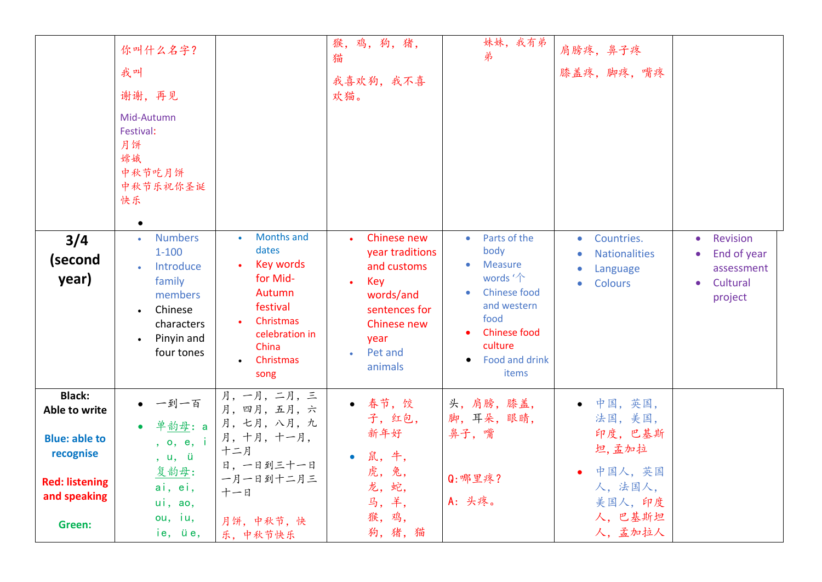| 3/4<br>(second<br>year)                                             | 你叫什么名字?<br>我叫<br>谢谢,再见<br>Mid-Autumn<br>Festival:<br>月饼<br>嫦娥<br>中秋节吃月饼<br>中秋节乐祝你圣诞<br>快乐<br>$\bullet$<br><b>Numbers</b><br>$\bullet$<br>$1 - 100$<br>Introduce<br>family<br>members<br>Chinese<br>$\bullet$<br>characters<br>Pinyin and<br>$\bullet$<br>four tones | <b>Months and</b><br>dates<br>Key words<br>for Mid-<br>Autumn<br>festival<br>Christmas<br>celebration in<br>China<br>Christmas<br>song | 猴,鸡,狗,猪,<br>猫<br>我喜欢狗, 我不喜<br>欢猫。<br>Chinese new<br>year traditions<br>and customs<br>Key<br>words/and<br>sentences for<br>Chinese new<br>year<br>Pet and<br>animals | 妹妹,我有弟<br>弟<br>Parts of the<br>$\bullet$<br>body<br><b>Measure</b><br>words '个<br><b>Chinese food</b><br>and western<br>food<br><b>Chinese food</b><br>culture<br>Food and drink<br>items | 肩膀疼, 鼻子疼<br>膝盖疼, 脚疼, 嘴疼<br>Countries.<br>$\bullet$<br><b>Nationalities</b><br>Language<br>$\bullet$<br><b>Colours</b><br>$\bullet$ | <b>Revision</b><br>$\bullet$<br>End of year<br>assessment<br>Cultural<br>$\bullet$<br>project |
|---------------------------------------------------------------------|---------------------------------------------------------------------------------------------------------------------------------------------------------------------------------------------------------------------------------------------------------------------|----------------------------------------------------------------------------------------------------------------------------------------|----------------------------------------------------------------------------------------------------------------------------------------------------------------------|-------------------------------------------------------------------------------------------------------------------------------------------------------------------------------------------|------------------------------------------------------------------------------------------------------------------------------------|-----------------------------------------------------------------------------------------------|
| <b>Black:</b><br>Able to write<br><b>Blue: able to</b><br>recognise | 一到一百<br>单韵母: a<br>, o, e, i<br>, u, ü                                                                                                                                                                                                                               | 月, 一月, 二月, 三<br>月, 四月, 五月, 六<br>月,七月,八月,九<br>月, 十月, 十一月,<br>十二月                                                                        | • 春节, 饺<br>子,红包,<br>新年好<br>鼠,牛,                                                                                                                                      | 头,肩膀,膝盖,<br>脚,耳朵,眼睛,<br>鼻子,嘴                                                                                                                                                              | • 中国,英国,<br>法国,美国,<br>印度,巴基斯<br>坦,孟加拉                                                                                              |                                                                                               |
| <b>Red: listening</b><br>and speaking<br>Green:                     | 复韵母:<br>ai, ei,<br>ui, ao,<br>ou, iu,<br>ie, üe,                                                                                                                                                                                                                    | 日, 一日到三十一日<br>一月一日到十二月三<br>十一日<br>月饼,中秋节,快<br>乐,中秋节快乐                                                                                  | 虎,兔,<br>龙,蛇,<br>马,羊,<br>猴, 鸡,<br>狗,猪,猫                                                                                                                               | Q: 哪里疼?<br>A: 头疼。                                                                                                                                                                         | 中国人,英国<br>人,法国人,<br>美国人,印度<br>人,巴基斯坦<br>人,孟加拉人                                                                                     |                                                                                               |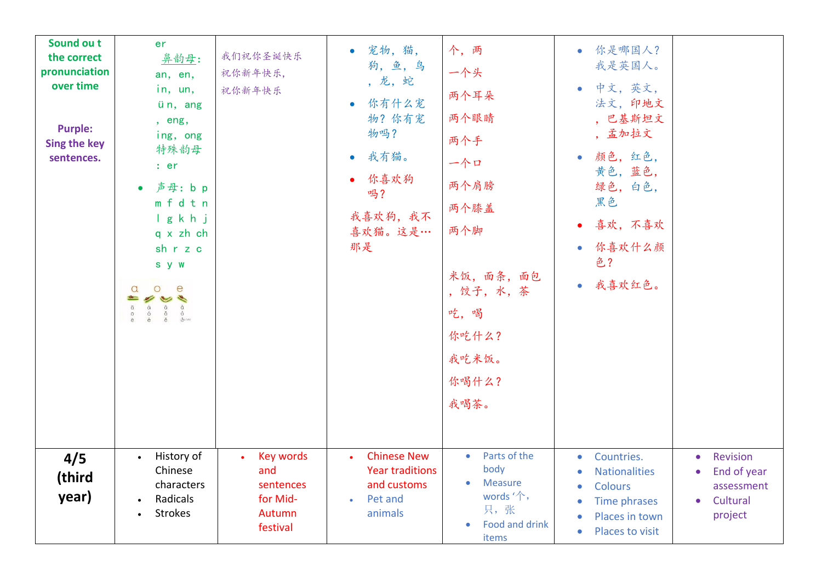| Sound ou t<br>the correct<br>pronunciation<br>over time<br><b>Purple:</b><br><b>Sing the key</b><br>sentences. | er<br>鼻韵母:<br>an, en,<br>in, un,<br>ün, ang<br>, eng,<br>ing, ong<br>特殊韵母<br>: er<br>声母: b p<br>mfdtn<br>Igkhj<br>q x zh ch<br>sh r z c<br>s y w<br>$\circ$<br>e<br>$\alpha$<br>$=$ $\frac{1}{2}$<br>$\begin{array}{ccccccc}\n\bar{a} & \hat{a} & \hat{a} & \hat{a} \\ \bar{0} & \hat{0} & \hat{0} & \hat{0} \\ \bar{e} & \hat{e} & \hat{e} & \hat{a} \\ \end{array}$ | 我们祝你圣诞快乐<br>祝你新年快乐,<br>祝你新年快乐                                          | 宠物,猫,<br>$\bullet$<br>狗,鱼,鸟<br>, 龙, 蛇<br>你有什么宠<br>$\bullet$<br>物? 你有宠<br>物吗?<br>我有猫。<br>$\bullet$<br>你喜欢狗<br>吗?<br>我喜欢狗,我不<br>喜欢猫。这是…<br>那是 | 个,两<br>一个头<br>两个耳朵<br>两个眼睛<br>两个手<br>一个口<br>两个肩膀<br>两个膝盖<br>两个脚<br>米饭, 面条, 面包<br>, 饺子, 水, 茶<br>吃,喝<br>你吃什么?<br>我吃米饭。<br>你喝什么?<br>我喝茶。 | • 你是哪国人?<br>我是英国人。<br>中文,英文,<br>$\bullet$<br>法文,印地文<br>, 巴基斯坦文<br>, 孟加拉文<br>颜色,红色,<br>$\bullet$<br>黄色,蓝色,<br>绿色,白色,<br>黑色<br>喜欢,不喜欢<br>你喜欢什么颜<br>$\bullet$<br>色?<br>• 我喜欢红色。 |                                                                                                     |
|----------------------------------------------------------------------------------------------------------------|-----------------------------------------------------------------------------------------------------------------------------------------------------------------------------------------------------------------------------------------------------------------------------------------------------------------------------------------------------------------------|------------------------------------------------------------------------|---------------------------------------------------------------------------------------------------------------------------------------------|---------------------------------------------------------------------------------------------------------------------------------------|------------------------------------------------------------------------------------------------------------------------------------------------------------------------------|-----------------------------------------------------------------------------------------------------|
| 4/5<br>(third<br>year)                                                                                         | History of<br>$\bullet$<br>Chinese<br>characters<br>Radicals<br>$\bullet$<br><b>Strokes</b><br>$\bullet$                                                                                                                                                                                                                                                              | <b>Key words</b><br>and<br>sentences<br>for Mid-<br>Autumn<br>festival | <b>Chinese New</b><br><b>Year traditions</b><br>and customs<br>Pet and<br>$\bullet$<br>animals                                              | Parts of the<br>$\bullet$<br>body<br>Measure<br>$\bullet$<br>words $\hat{\mathcal{L}}$ ,<br>只,张<br>Food and drink<br>items            | Countries.<br>$\bullet$<br><b>Nationalities</b><br><b>Colours</b><br>Time phrases<br>$\bullet$<br>Places in town<br>$\bullet$<br>Places to visit<br>$\bullet$                | Revision<br>$\bullet$<br>End of year<br>$\bullet$<br>assessment<br>Cultural<br>$\bullet$<br>project |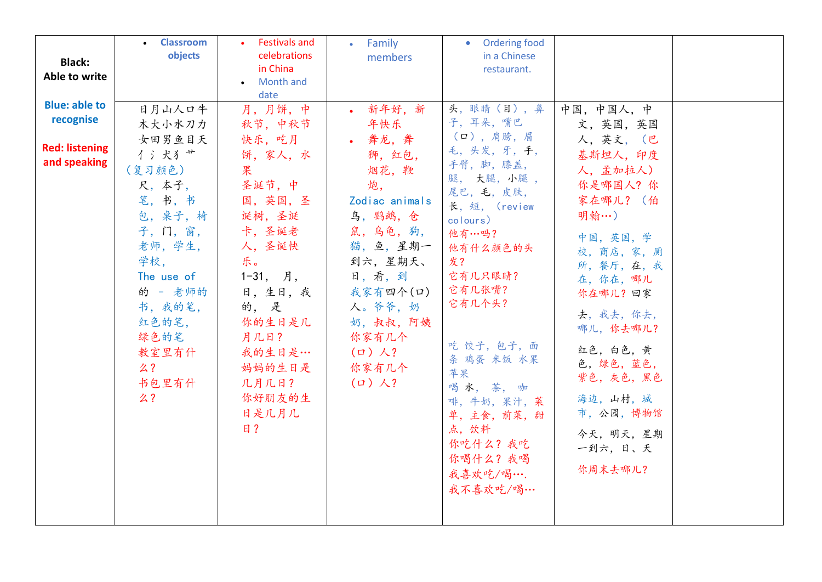|                       | • Classroom<br>objects | <b>Festivals and</b><br>celebrations | Family<br>$\bullet$  | Ordering food<br>$\bullet$<br>in a Chinese |                     |  |
|-----------------------|------------------------|--------------------------------------|----------------------|--------------------------------------------|---------------------|--|
| <b>Black:</b>         |                        | in China                             | members              | restaurant.                                |                     |  |
| Able to write         |                        | <b>Month and</b>                     |                      |                                            |                     |  |
| <b>Blue: able to</b>  |                        | date                                 |                      |                                            |                     |  |
| recognise             | 日月山人口牛                 | 月,月饼,中                               | • 新年好, 新             | 头,眼睛(目),鼻<br>子,耳朵,嘴巴                       | 中国,中国人,中            |  |
|                       | 木大小水刀力                 | 秋节,中秋节                               | 年快乐                  | (口),肩膀,眉                                   | 文,英国,英国             |  |
| <b>Red: listening</b> | 女田男鱼目天<br>イ 氵 犬 犭 艹    | 快乐, 吃月<br>饼,家人,水                     | • 舞龙,舞<br>狮,红包,      | 毛,头发,牙,手,                                  | 人,英文, (巴<br>基斯坦人,印度 |  |
| and speaking          | (复习颜色)                 | 果                                    | 烟花,鞭                 | 手臂, 脚, 膝盖,                                 | 人,孟加拉人)             |  |
|                       | 尺,本子,                  | 圣诞节,中                                | 炮,                   | 腿, 大腿,小腿,                                  | 你是哪国人?你             |  |
|                       | 笔,书,书                  | 国,英国,圣                               | Zodiac animals       | 尾巴,毛,皮肤,                                   | 家在哪儿? (伯            |  |
|                       | 包, 桌子, 椅               | 诞树,圣诞                                | 鸟, 鹦鹉, 仓             | 长,短, (review<br>colours)                   | 明翰…)                |  |
|                       | 子, 门, 窗,               | 卡,圣诞老                                | 鼠,乌龟,狗,              | 他有…吗?                                      | 中国,英国,学             |  |
|                       | 老师,学生,                 | 人,圣诞快                                | 猫,鱼,星期一              | 他有什么颜色的头                                   | 校, 商店, 家, 厕         |  |
|                       | 学校,                    | 乐。                                   | 到六,星期天、              | 发?                                         | 所, 餐厅, 在, 我         |  |
|                       | The use of             | $1-31,$ 月,                           | 日,看,到                | 它有几只眼睛?                                    | 在,你在,哪儿             |  |
|                       | 的 - 老师的                | 日,生日,我                               | 我家有四个(口)             | 它有几张嘴?                                     | 你在哪儿?回家             |  |
|                       | 书,我的笔,                 | 的,是                                  | 人。爷爷, 奶              | 它有几个头?                                     | 去, 我去, 你去,          |  |
|                       | 红色的笔,                  | 你的生日是几                               | 奶, 叔叔, 阿姨            |                                            | 哪儿, 你去哪儿?           |  |
|                       | 绿色的笔                   | 月几日?                                 | 你家有几个                | 吃饺子,包子,面                                   | 红色,白色,黄             |  |
|                       | 教室里有什<br>么?            | 我的生日是…<br>妈妈的生日是                     | $(\Box)$ 人?<br>你家有几个 | 条 鸡蛋 米饭 水果                                 | 色, 绿色, 蓝色,          |  |
|                       | 书包里有什                  | 几月几日?                                | $(\Box)$ 人?          | 苹果                                         | 紫色,灰色,黑色            |  |
|                       | 么?                     | 你好朋友的生                               |                      | 喝水,茶,咖<br>啡,牛奶,果汁,菜                        | 海边,山村,城             |  |
|                       |                        | 日是几月几                                |                      | 单,主食,前菜,甜                                  | 市, 公园, 博物馆          |  |
|                       |                        | 日?                                   |                      | 点, 饮料                                      | 今天, 明天, 星期          |  |
|                       |                        |                                      |                      | 你吃什么?我吃                                    | 一到六,日、天             |  |
|                       |                        |                                      |                      | 你喝什么?我喝                                    |                     |  |
|                       |                        |                                      |                      | 我喜欢吃/喝….                                   | 你周末去哪儿?             |  |
|                       |                        |                                      |                      | 我不喜欢吃/喝…                                   |                     |  |
|                       |                        |                                      |                      |                                            |                     |  |
|                       |                        |                                      |                      |                                            |                     |  |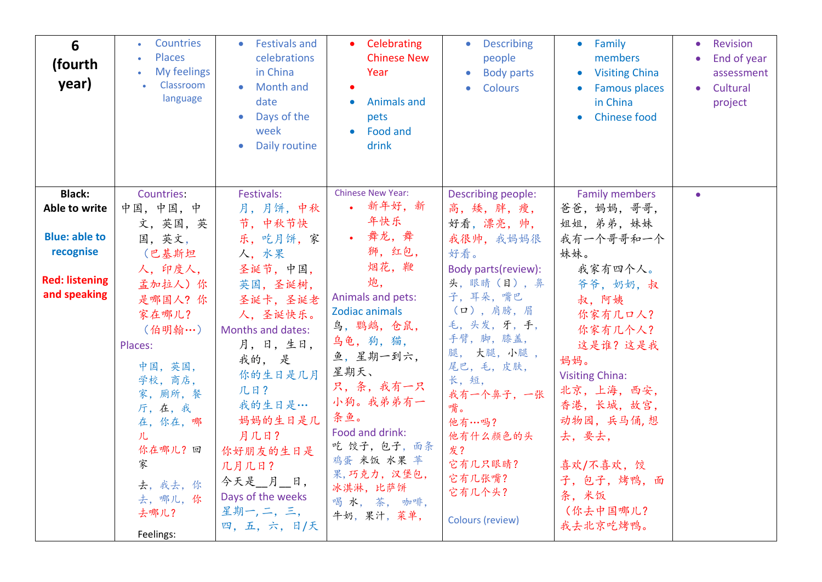| 6<br>(fourth<br>year)                 | Countries<br><b>Places</b><br>$\bullet$<br>My feelings<br>$\bullet$<br>Classroom<br>language                                                                               | <b>Festivals and</b><br>celebrations<br>in China<br><b>Month and</b><br>date<br>Days of the<br>$\bullet$<br>week<br>Daily routine                                                                              | Celebrating<br><b>Chinese New</b><br>Year<br><b>Animals and</b><br>pets<br>Food and<br>drink                                                                                                                                     | <b>Describing</b><br>$\bullet$<br>people<br><b>Body parts</b><br><b>Colours</b><br>$\bullet$                                                                                                                                | • Family<br>members<br><b>Visiting China</b><br>$\bullet$<br><b>Famous places</b><br>in China<br><b>Chinese food</b><br>$\bullet$                                                                           | Revision<br>$\bullet$<br>End of year<br>$\bullet$<br>assessment<br>Cultural<br>$\bullet$<br>project |
|---------------------------------------|----------------------------------------------------------------------------------------------------------------------------------------------------------------------------|----------------------------------------------------------------------------------------------------------------------------------------------------------------------------------------------------------------|----------------------------------------------------------------------------------------------------------------------------------------------------------------------------------------------------------------------------------|-----------------------------------------------------------------------------------------------------------------------------------------------------------------------------------------------------------------------------|-------------------------------------------------------------------------------------------------------------------------------------------------------------------------------------------------------------|-----------------------------------------------------------------------------------------------------|
| <b>Black:</b>                         | Countries:                                                                                                                                                                 | Festivals:                                                                                                                                                                                                     | <b>Chinese New Year:</b>                                                                                                                                                                                                         | Describing people:                                                                                                                                                                                                          | <b>Family members</b>                                                                                                                                                                                       | $\bullet$                                                                                           |
| Able to write                         | 中国,中国,中                                                                                                                                                                    | 月,月饼,中秋                                                                                                                                                                                                        | • 新年好,新<br>年快乐                                                                                                                                                                                                                   | 高, 矮, 胖, 瘦,                                                                                                                                                                                                                 | 爸爸, 妈妈, 哥哥,                                                                                                                                                                                                 |                                                                                                     |
| <b>Blue: able to</b>                  | 文,英国,英<br>国,英文,                                                                                                                                                            | 节,中秋节快<br>乐,吃月饼,家                                                                                                                                                                                              | • 舞龙,舞                                                                                                                                                                                                                           | 好看,漂亮,帅,<br>我很帅, 我妈妈很                                                                                                                                                                                                       | 姐姐, 弟弟, 妹妹<br>我有一个哥哥和一个                                                                                                                                                                                     |                                                                                                     |
| recognise                             | (巴基斯坦                                                                                                                                                                      | 人,水果                                                                                                                                                                                                           | 狮,红包,                                                                                                                                                                                                                            | 好看。                                                                                                                                                                                                                         | 妹妹。                                                                                                                                                                                                         |                                                                                                     |
| <b>Red: listening</b><br>and speaking | 人,印度人,<br>孟加拉人) 你<br>是哪国人?你<br>家在哪儿?<br>(伯明翰…)<br>Places:<br>中国,英国,<br>学校, 商店,<br>家,厕所,餐<br>厅,在,我<br>在,你在,哪<br>儿<br>你在哪儿?回<br>家<br>去, 我去, 你<br>去,哪儿,你<br>去哪儿?<br>Feelings: | 圣诞节,中国,<br>英国,圣诞树,<br>圣诞卡,圣诞老<br>人,圣诞快乐。<br>Months and dates:<br>月,日,生日,<br>我的,是<br>你的生日是几月<br>几日?<br>我的生日是…<br>妈妈的生日是几<br>月几日?<br>你好朋友的生日是<br>几月几日?<br>今天是 月 日,<br>Days of the weeks<br>星期一,二,三,<br>四,五,六,日/天 | 烟花,鞭<br>炮,<br>Animals and pets:<br>Zodiac animals<br>鸟, 鹦鹉, 仓鼠,<br>乌龟,狗,猫,<br>鱼,星期一到六,<br>星期天、<br>只,条,我有一只<br>小狗。我弟弟有一<br>条鱼。<br>Food and drink:<br>吃 饺子,包子,面条<br>鸡蛋 米饭 水果 苹<br>果,巧克力,汉堡包,<br>冰淇淋,比萨饼<br>喝水,茶,咖啡,<br>牛奶, 果汁, 菜单, | Body parts(review):<br>头,眼睛(目),鼻<br>子,耳朵,嘴巴<br>(口),肩膀,眉<br>毛,头发,牙,手,<br>手臂, 脚, 膝盖,<br>腿, 大腿,小腿,<br>尾巴,毛,皮肤,<br>长,短,<br>我有一个鼻子,一张<br>嘴。<br>他有…吗?<br>他有什么颜色的头<br>发?<br>它有几只眼睛?<br>它有几张嘴?<br>它有几个头?<br><b>Colours (review)</b> | 我家有四个人。<br>爷爷, 奶奶, 叔<br>叔, 阿姨<br>你家有几口人?<br>你家有几个人?<br>这是谁?这是我<br>妈妈。<br><b>Visiting China:</b><br>北京,上海,西安,<br>香港,长城,故宫,<br>动物园,兵马俑,想<br>去, 要去,<br>喜欢/不喜欢, 饺<br>子,包子,烤鸭,面<br>条, 米饭<br>(你去中国哪儿?<br>我去北京吃烤鸭。 |                                                                                                     |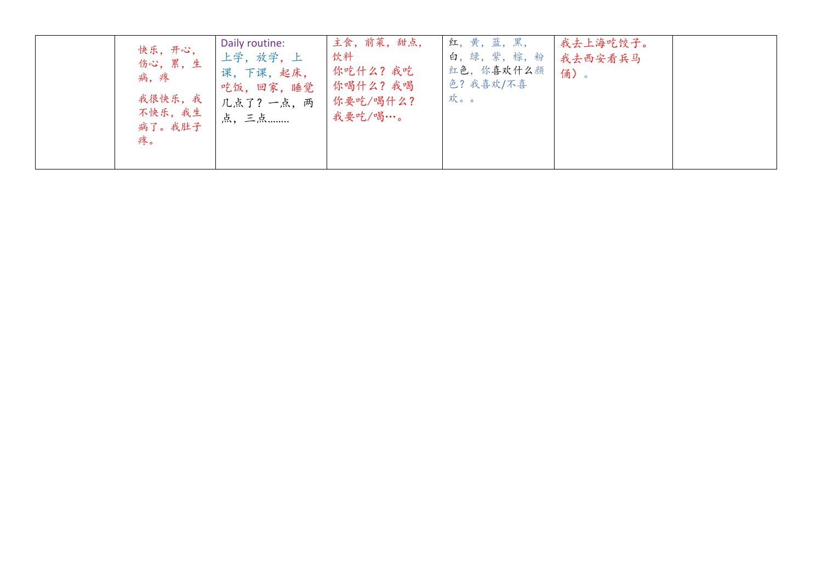| 快乐,开心,<br>伤心,累,生<br>病,疼<br>我很快乐,我<br>不快乐,我生<br>病了。我肚子<br>疼。 | Daily routine:<br>上学, 放学, 上<br>课,下课,起床,<br>吃饭,回家,睡觉<br>几点了?一点,两<br>点,三点 | 主食, 前菜, 甜点,<br>饮料<br>你吃什么?我吃<br>你喝什么?我喝<br>你要吃/喝什么?<br>我要吃/喝…。 | 红,黄,蓝,黑,<br>白,绿,紫,棕,粉<br>红色,你喜欢什么颜<br>色?我喜欢/不喜<br>欢。。 | 我去上海吃饺子。<br>我去西安看兵马<br>俑)。 |  |
|-------------------------------------------------------------|-------------------------------------------------------------------------|----------------------------------------------------------------|-------------------------------------------------------|----------------------------|--|
|-------------------------------------------------------------|-------------------------------------------------------------------------|----------------------------------------------------------------|-------------------------------------------------------|----------------------------|--|